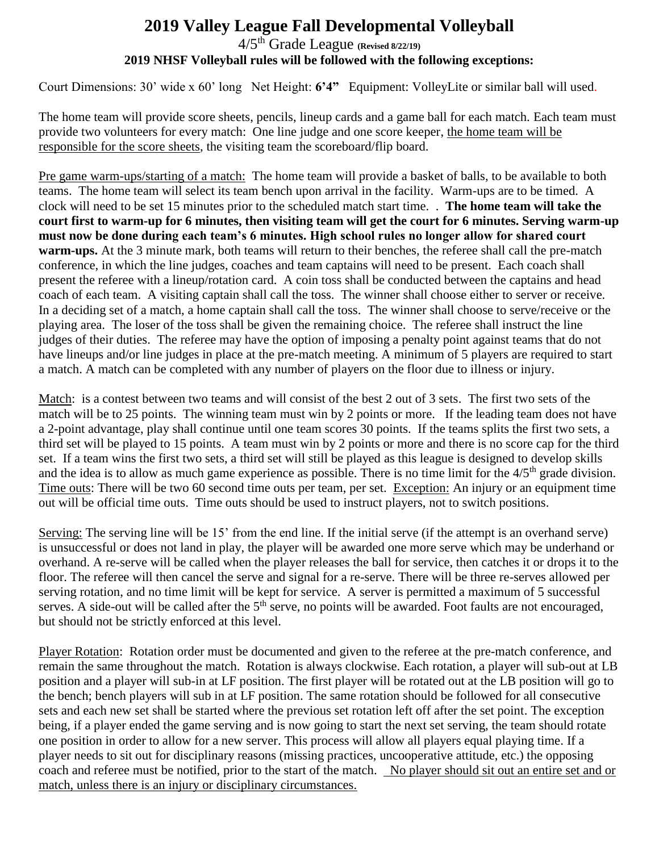## **2019 Valley League Fall Developmental Volleyball** 4/5th Grade League **(Revised 8/22/19) 2019 NHSF Volleyball rules will be followed with the following exceptions:**

Court Dimensions: 30' wide x 60' long Net Height: **6'4"** Equipment: VolleyLite or similar ball will used.

The home team will provide score sheets, pencils, lineup cards and a game ball for each match. Each team must provide two volunteers for every match: One line judge and one score keeper, the home team will be responsible for the score sheets, the visiting team the scoreboard/flip board.

Pre game warm-ups/starting of a match: The home team will provide a basket of balls, to be available to both teams. The home team will select its team bench upon arrival in the facility. Warm-ups are to be timed. A clock will need to be set 15 minutes prior to the scheduled match start time. . **The home team will take the court first to warm-up for 6 minutes, then visiting team will get the court for 6 minutes. Serving warm-up must now be done during each team's 6 minutes. High school rules no longer allow for shared court warm-ups.** At the 3 minute mark, both teams will return to their benches, the referee shall call the pre-match conference, in which the line judges, coaches and team captains will need to be present. Each coach shall present the referee with a lineup/rotation card. A coin toss shall be conducted between the captains and head coach of each team. A visiting captain shall call the toss. The winner shall choose either to server or receive. In a deciding set of a match, a home captain shall call the toss. The winner shall choose to serve/receive or the playing area. The loser of the toss shall be given the remaining choice. The referee shall instruct the line judges of their duties. The referee may have the option of imposing a penalty point against teams that do not have lineups and/or line judges in place at the pre-match meeting. A minimum of 5 players are required to start a match. A match can be completed with any number of players on the floor due to illness or injury.

Match: is a contest between two teams and will consist of the best 2 out of 3 sets.The first two sets of the match will be to 25 points. The winning team must win by 2 points or more. If the leading team does not have a 2-point advantage, play shall continue until one team scores 30 points. If the teams splits the first two sets, a third set will be played to 15 points. A team must win by 2 points or more and there is no score cap for the third set. If a team wins the first two sets, a third set will still be played as this league is designed to develop skills and the idea is to allow as much game experience as possible. There is no time limit for the  $4/5<sup>th</sup>$  grade division. Time outs: There will be two 60 second time outs per team, per set. Exception: An injury or an equipment time out will be official time outs. Time outs should be used to instruct players, not to switch positions.

Serving: The serving line will be 15' from the end line. If the initial serve (if the attempt is an overhand serve) is unsuccessful or does not land in play, the player will be awarded one more serve which may be underhand or overhand. A re-serve will be called when the player releases the ball for service, then catches it or drops it to the floor. The referee will then cancel the serve and signal for a re-serve. There will be three re-serves allowed per serving rotation, and no time limit will be kept for service. A server is permitted a maximum of 5 successful serves. A side-out will be called after the  $5<sup>th</sup>$  serve, no points will be awarded. Foot faults are not encouraged, but should not be strictly enforced at this level.

Player Rotation: Rotation order must be documented and given to the referee at the pre-match conference, and remain the same throughout the match. Rotation is always clockwise. Each rotation, a player will sub-out at LB position and a player will sub-in at LF position. The first player will be rotated out at the LB position will go to the bench; bench players will sub in at LF position. The same rotation should be followed for all consecutive sets and each new set shall be started where the previous set rotation left off after the set point. The exception being, if a player ended the game serving and is now going to start the next set serving, the team should rotate one position in order to allow for a new server. This process will allow all players equal playing time. If a player needs to sit out for disciplinary reasons (missing practices, uncooperative attitude, etc.) the opposing coach and referee must be notified, prior to the start of the match. No player should sit out an entire set and or match, unless there is an injury or disciplinary circumstances.